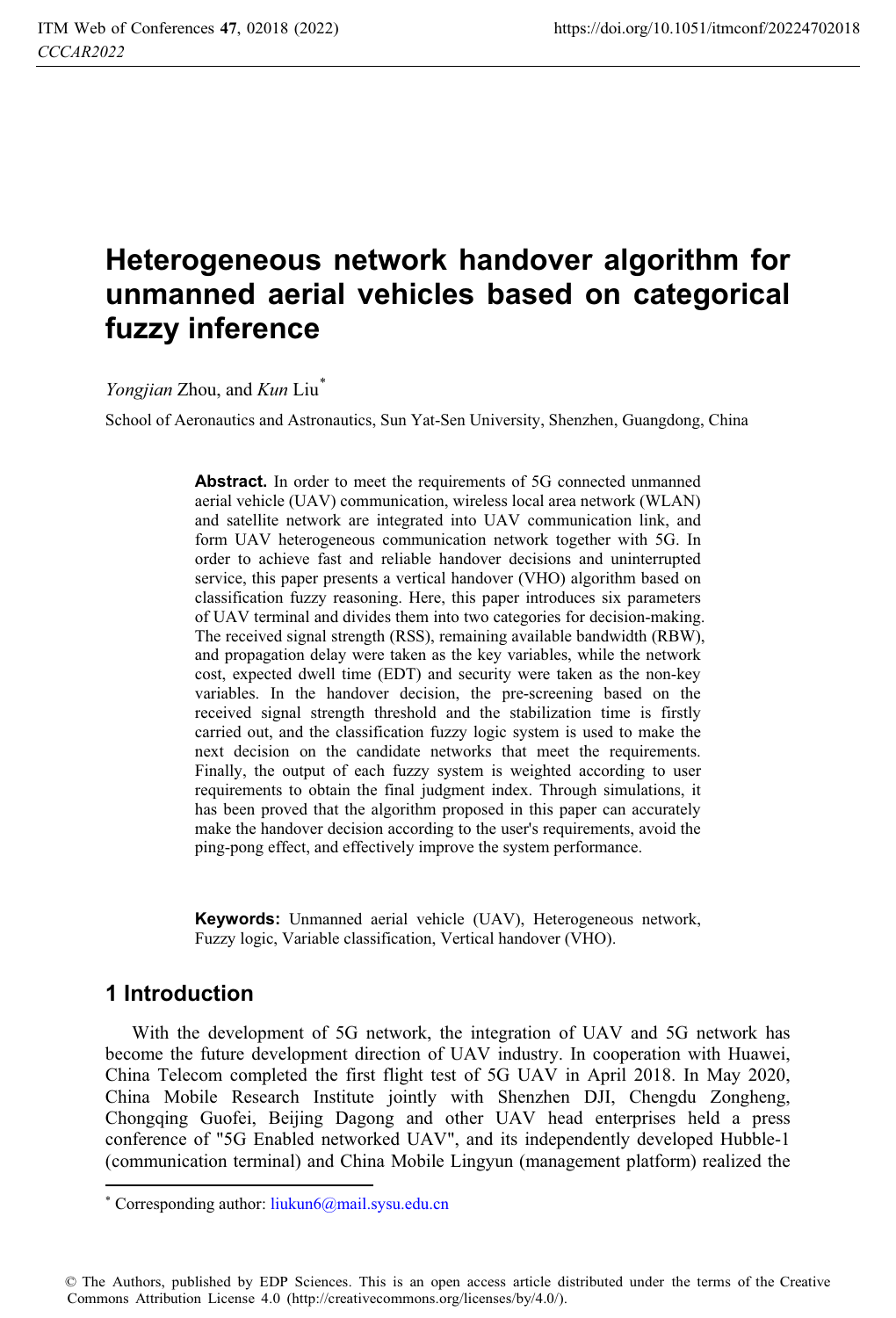# **Heterogeneous network handover algorithm for unmanned aerial vehicles based on categorical fuzzy inference**

*Yongjian* Zhou, and *Kun* Liu\*

School of Aeronautics and Astronautics, Sun Yat-Sen University, Shenzhen, Guangdong, China

Abstract. In order to meet the requirements of 5G connected unmanned aerial vehicle (UAV) communication, wireless local area network (WLAN) and satellite network are integrated into UAV communication link, and form UAV heterogeneous communication network together with 5G. In order to achieve fast and reliable handover decisions and uninterrupted service, this paper presents a vertical handover (VHO) algorithm based on classification fuzzy reasoning. Here, this paper introduces six parameters of UAV terminal and divides them into two categories for decision-making. The received signal strength (RSS), remaining available bandwidth (RBW), and propagation delay were taken as the key variables, while the network cost, expected dwell time (EDT) and security were taken as the non-key variables. In the handover decision, the pre-screening based on the received signal strength threshold and the stabilization time is firstly carried out, and the classification fuzzy logic system is used to make the next decision on the candidate networks that meet the requirements. Finally, the output of each fuzzy system is weighted according to user requirements to obtain the final judgment index. Through simulations, it has been proved that the algorithm proposed in this paper can accurately make the handover decision according to the user's requirements, avoid the ping-pong effect, and effectively improve the system performance.

**Keywords:** Unmanned aerial vehicle (UAV), Heterogeneous network, Fuzzy logic, Variable classification, Vertical handover (VHO).

### **1 Introduction**

 $\overline{a}$ 

With the development of 5G network, the integration of UAV and 5G network has become the future development direction of UAV industry. In cooperation with Huawei, China Telecom completed the first flight test of 5G UAV in April 2018. In May 2020, China Mobile Research Institute jointly with Shenzhen DJI, Chengdu Zongheng, Chongqing Guofei, Beijing Dagong and other UAV head enterprises held a press conference of "5G Enabled networked UAV", and its independently developed Hubble-1 (communication terminal) and China Mobile Lingyun (management platform) realized the

© The Authors, published by EDP Sciences. This is an open access article distributed under the terms of the Creative Commons Attribution License 4.0 (http://creativecommons.org/licenses/by/4.0/).

<sup>\*</sup> Corresponding author: liukun6@mail.sysu.edu.cn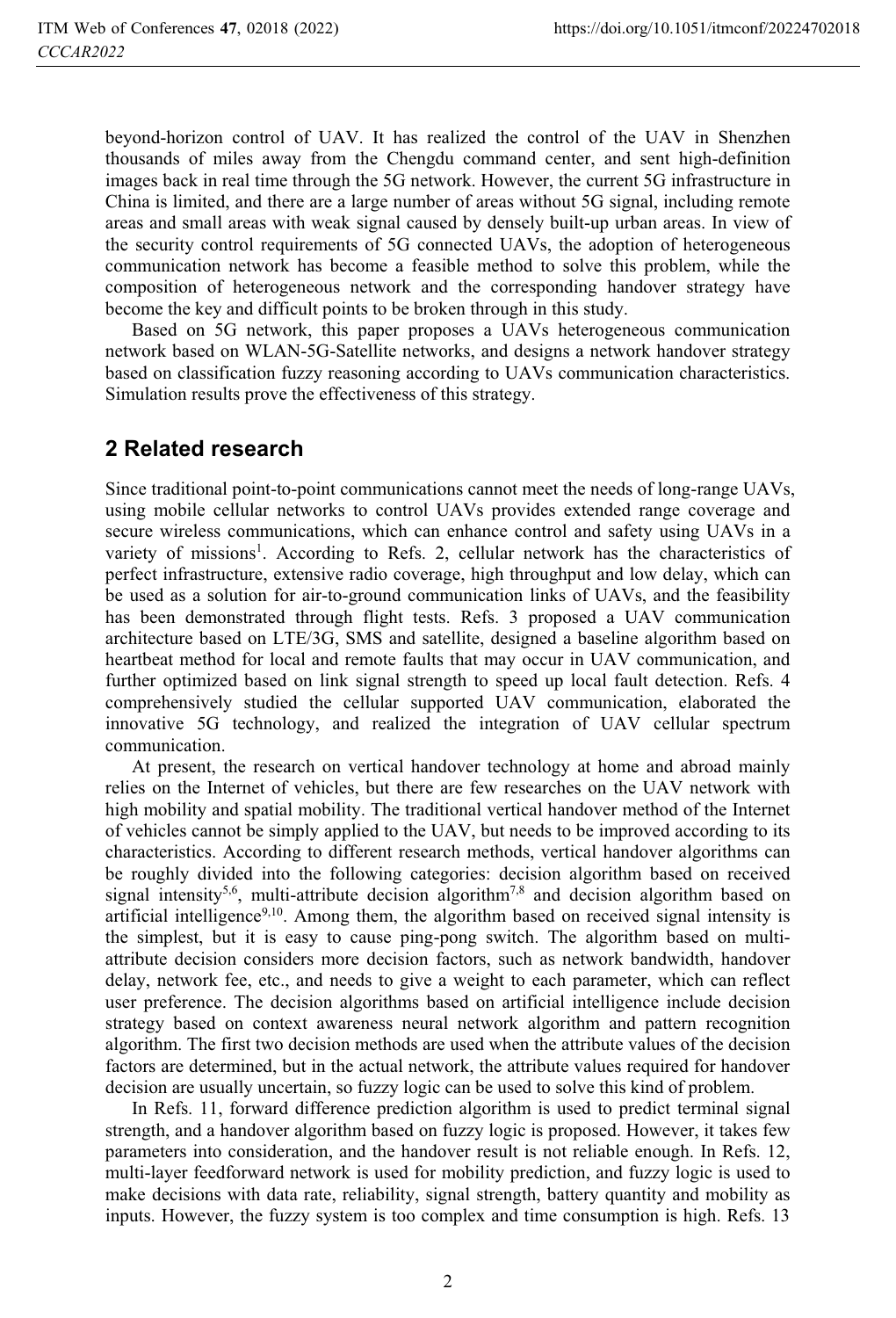beyond-horizon control of UAV. It has realized the control of the UAV in Shenzhen thousands of miles away from the Chengdu command center, and sent high-definition images back in real time through the 5G network. However, the current 5G infrastructure in China is limited, and there are a large number of areas without 5G signal, including remote areas and small areas with weak signal caused by densely built-up urban areas. In view of the security control requirements of 5G connected UAVs, the adoption of heterogeneous communication network has become a feasible method to solve this problem, while the composition of heterogeneous network and the corresponding handover strategy have become the key and difficult points to be broken through in this study.

Based on 5G network, this paper proposes a UAVs heterogeneous communication network based on WLAN-5G-Satellite networks, and designs a network handover strategy based on classification fuzzy reasoning according to UAVs communication characteristics. Simulation results prove the effectiveness of this strategy.

# **2 Related research**

Since traditional point-to-point communications cannot meet the needs of long-range UAVs, using mobile cellular networks to control UAVs provides extended range coverage and secure wireless communications, which can enhance control and safety using UAVs in a variety of missions<sup>1</sup>. According to Refs. 2, cellular network has the characteristics of perfect infrastructure, extensive radio coverage, high throughput and low delay, which can be used as a solution for air-to-ground communication links of UAVs, and the feasibility has been demonstrated through flight tests. Refs. 3 proposed a UAV communication architecture based on LTE/3G, SMS and satellite, designed a baseline algorithm based on heartbeat method for local and remote faults that may occur in UAV communication, and further optimized based on link signal strength to speed up local fault detection. Refs. 4 comprehensively studied the cellular supported UAV communication, elaborated the innovative 5G technology, and realized the integration of UAV cellular spectrum communication.

At present, the research on vertical handover technology at home and abroad mainly relies on the Internet of vehicles, but there are few researches on the UAV network with high mobility and spatial mobility. The traditional vertical handover method of the Internet of vehicles cannot be simply applied to the UAV, but needs to be improved according to its characteristics. According to different research methods, vertical handover algorithms can be roughly divided into the following categories: decision algorithm based on received signal intensity<sup>5,6</sup>, multi-attribute decision algorithm<sup>7,8</sup> and decision algorithm based on artificial intelligence $9,10$ . Among them, the algorithm based on received signal intensity is the simplest, but it is easy to cause ping-pong switch. The algorithm based on multiattribute decision considers more decision factors, such as network bandwidth, handover delay, network fee, etc., and needs to give a weight to each parameter, which can reflect user preference. The decision algorithms based on artificial intelligence include decision strategy based on context awareness neural network algorithm and pattern recognition algorithm. The first two decision methods are used when the attribute values of the decision factors are determined, but in the actual network, the attribute values required for handover decision are usually uncertain, so fuzzy logic can be used to solve this kind of problem.

In Refs. 11, forward difference prediction algorithm is used to predict terminal signal strength, and a handover algorithm based on fuzzy logic is proposed. However, it takes few parameters into consideration, and the handover result is not reliable enough. In Refs. 12, multi-layer feedforward network is used for mobility prediction, and fuzzy logic is used to make decisions with data rate, reliability, signal strength, battery quantity and mobility as inputs. However, the fuzzy system is too complex and time consumption is high. Refs. 13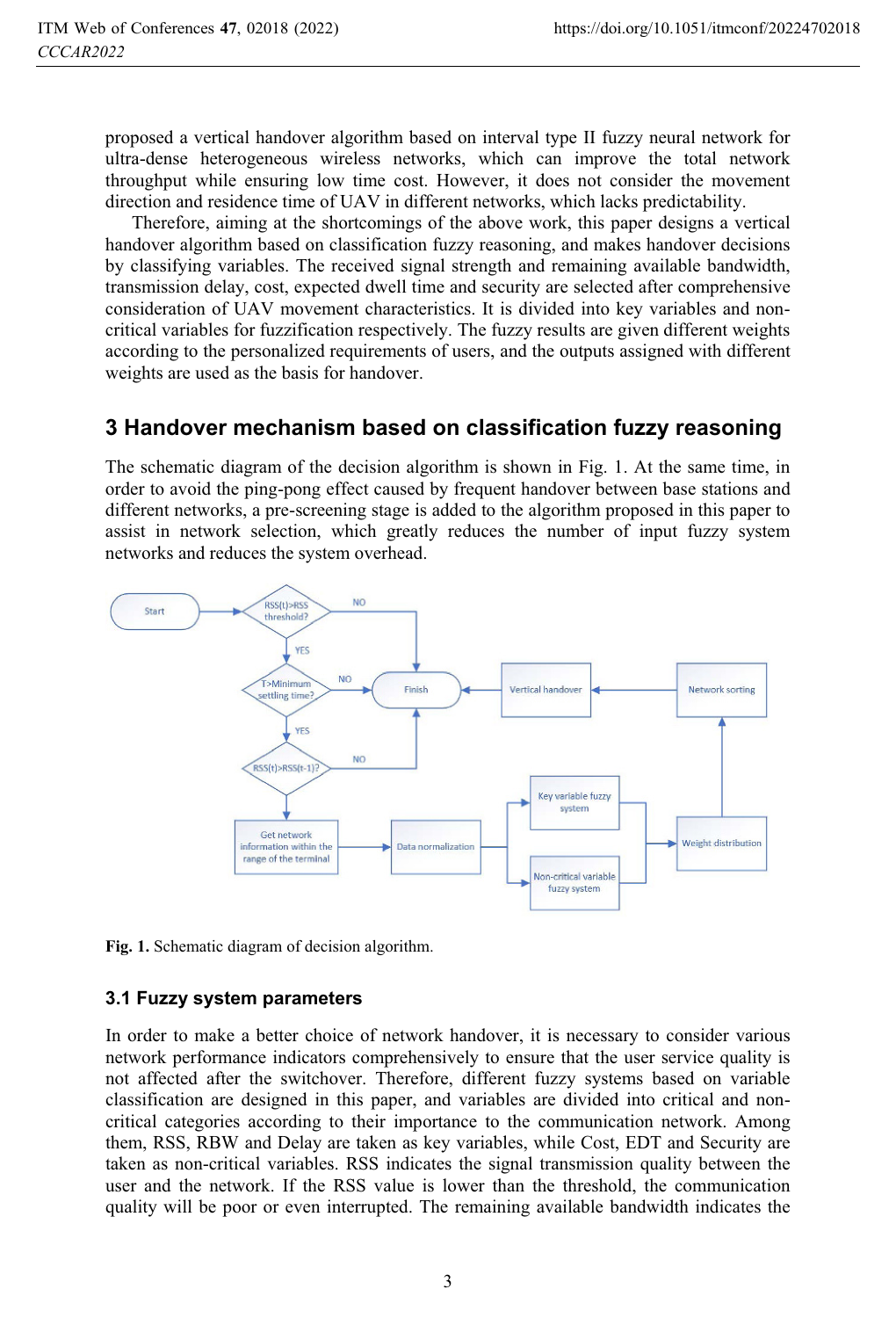proposed a vertical handover algorithm based on interval type II fuzzy neural network for ultra-dense heterogeneous wireless networks, which can improve the total network throughput while ensuring low time cost. However, it does not consider the movement direction and residence time of UAV in different networks, which lacks predictability.

Therefore, aiming at the shortcomings of the above work, this paper designs a vertical handover algorithm based on classification fuzzy reasoning, and makes handover decisions by classifying variables. The received signal strength and remaining available bandwidth, transmission delay, cost, expected dwell time and security are selected after comprehensive consideration of UAV movement characteristics. It is divided into key variables and noncritical variables for fuzzification respectively. The fuzzy results are given different weights according to the personalized requirements of users, and the outputs assigned with different weights are used as the basis for handover.

# **3 Handover mechanism based on classification fuzzy reasoning**

The schematic diagram of the decision algorithm is shown in Fig. 1. At the same time, in order to avoid the ping-pong effect caused by frequent handover between base stations and different networks, a pre-screening stage is added to the algorithm proposed in this paper to assist in network selection, which greatly reduces the number of input fuzzy system networks and reduces the system overhead.



**Fig. 1.** Schematic diagram of decision algorithm.

### **3.1 Fuzzy system parameters**

In order to make a better choice of network handover, it is necessary to consider various network performance indicators comprehensively to ensure that the user service quality is not affected after the switchover. Therefore, different fuzzy systems based on variable classification are designed in this paper, and variables are divided into critical and noncritical categories according to their importance to the communication network. Among them, RSS, RBW and Delay are taken as key variables, while Cost, EDT and Security are taken as non-critical variables. RSS indicates the signal transmission quality between the user and the network. If the RSS value is lower than the threshold, the communication quality will be poor or even interrupted. The remaining available bandwidth indicates the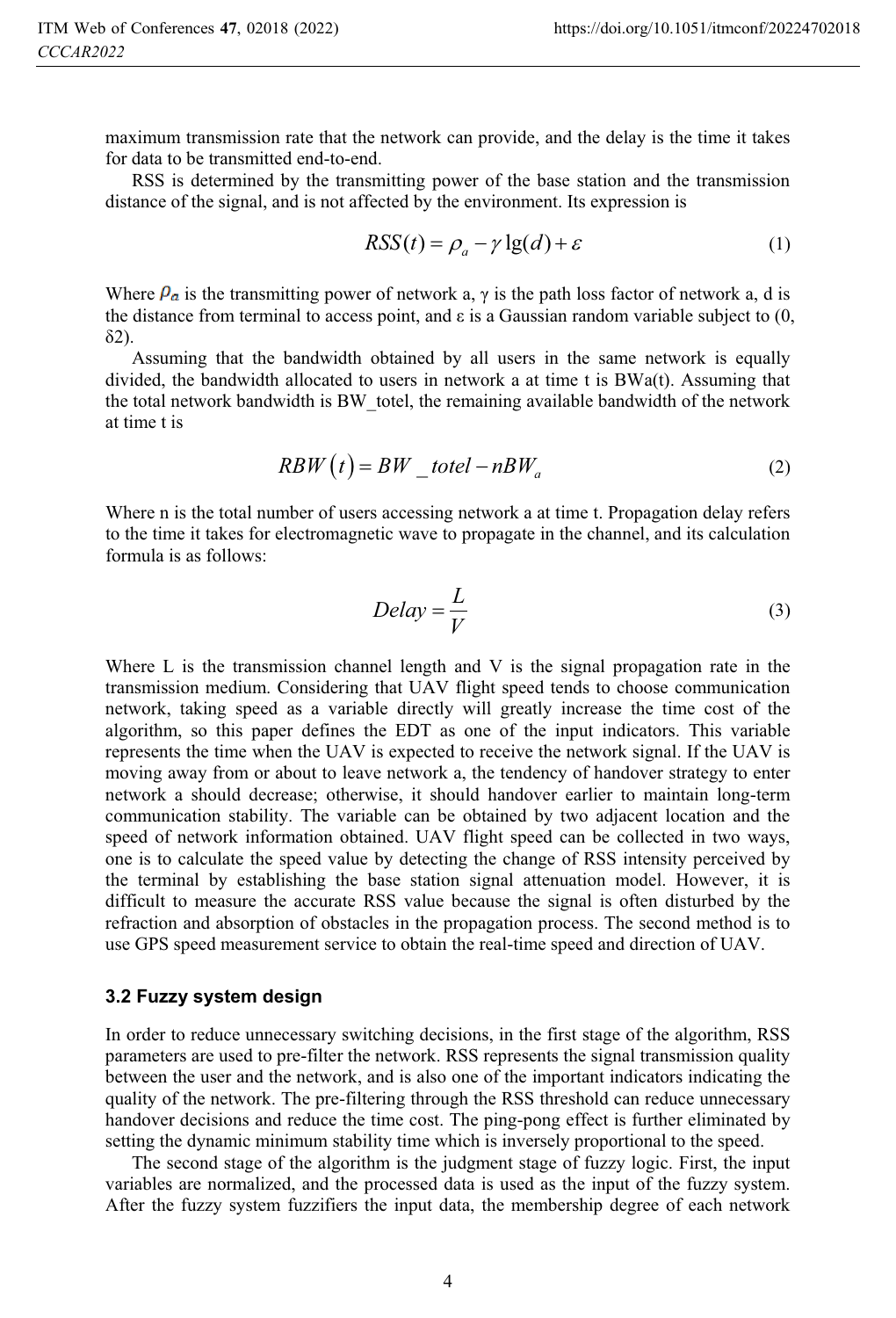maximum transmission rate that the network can provide, and the delay is the time it takes for data to be transmitted end-to-end.

RSS is determined by the transmitting power of the base station and the transmission distance of the signal, and is not affected by the environment. Its expression is

$$
RSS(t) = \rho_a - \gamma \lg(d) + \varepsilon \tag{1}
$$

Where  $\rho_a$  is the transmitting power of network a,  $\gamma$  is the path loss factor of network a, d is the distance from terminal to access point, and  $\varepsilon$  is a Gaussian random variable subject to  $(0, 0)$  $\delta$ 2).

Assuming that the bandwidth obtained by all users in the same network is equally divided, the bandwidth allocated to users in network a at time t is BWa(t). Assuming that the total network bandwidth is BW\_totel, the remaining available bandwidth of the network at time t is

$$
RBW(t) = BW\_total - nBW_a \tag{2}
$$

Where n is the total number of users accessing network a at time t. Propagation delay refers to the time it takes for electromagnetic wave to propagate in the channel, and its calculation formula is as follows:

$$
Delay = \frac{L}{V}
$$
 (3)

Where L is the transmission channel length and V is the signal propagation rate in the transmission medium. Considering that UAV flight speed tends to choose communication network, taking speed as a variable directly will greatly increase the time cost of the algorithm, so this paper defines the EDT as one of the input indicators. This variable represents the time when the UAV is expected to receive the network signal. If the UAV is moving away from or about to leave network a, the tendency of handover strategy to enter network a should decrease; otherwise, it should handover earlier to maintain long-term communication stability. The variable can be obtained by two adjacent location and the speed of network information obtained. UAV flight speed can be collected in two ways, one is to calculate the speed value by detecting the change of RSS intensity perceived by the terminal by establishing the base station signal attenuation model. However, it is difficult to measure the accurate RSS value because the signal is often disturbed by the refraction and absorption of obstacles in the propagation process. The second method is to use GPS speed measurement service to obtain the real-time speed and direction of UAV.

#### **3.2 Fuzzy system design**

In order to reduce unnecessary switching decisions, in the first stage of the algorithm, RSS parameters are used to pre-filter the network. RSS represents the signal transmission quality between the user and the network, and is also one of the important indicators indicating the quality of the network. The pre-filtering through the RSS threshold can reduce unnecessary handover decisions and reduce the time cost. The ping-pong effect is further eliminated by setting the dynamic minimum stability time which is inversely proportional to the speed.

The second stage of the algorithm is the judgment stage of fuzzy logic. First, the input variables are normalized, and the processed data is used as the input of the fuzzy system. After the fuzzy system fuzzifiers the input data, the membership degree of each network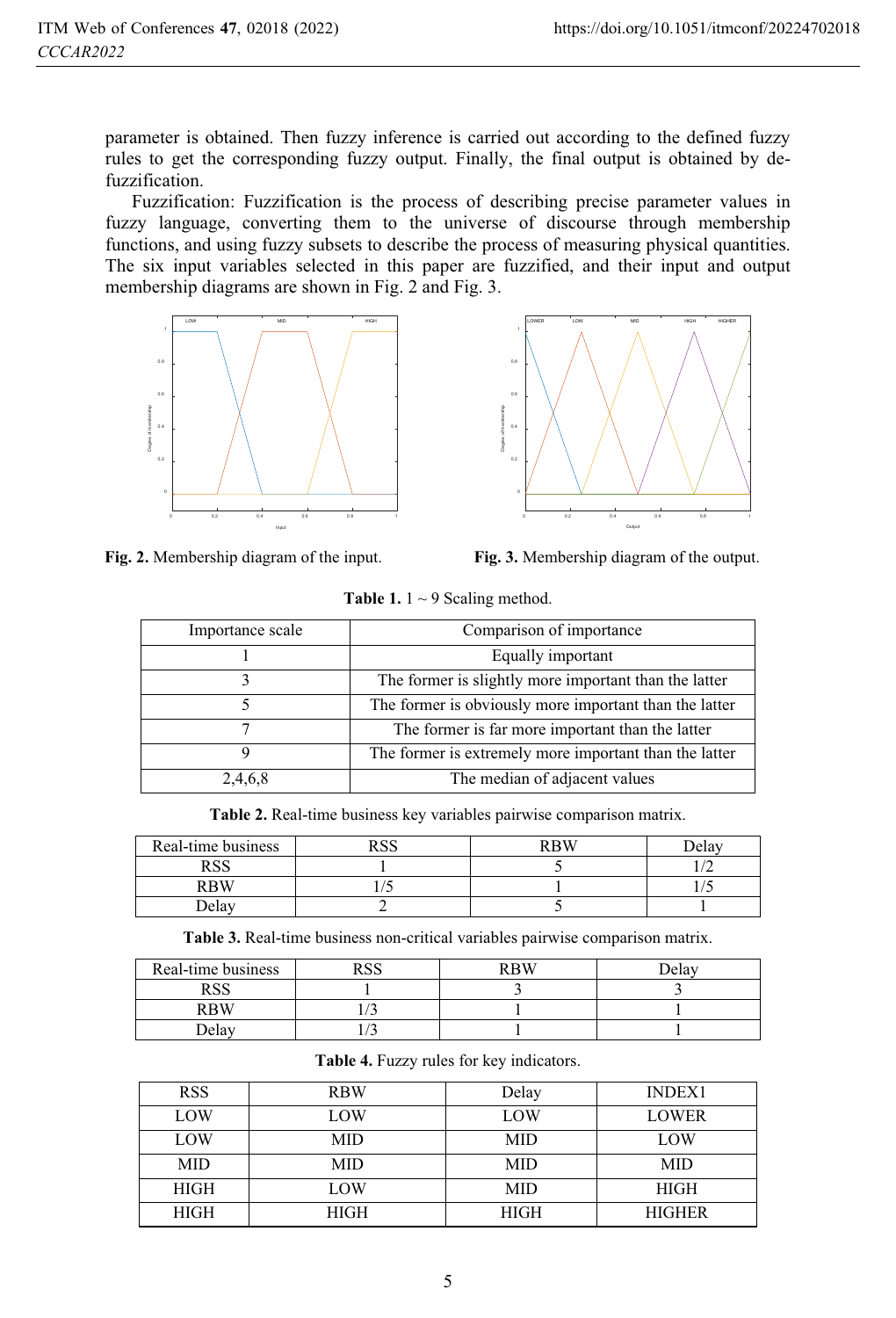parameter is obtained. Then fuzzy inference is carried out according to the defined fuzzy rules to get the corresponding fuzzy output. Finally, the final output is obtained by defuzzification.

Fuzzification: Fuzzification is the process of describing precise parameter values in fuzzy language, converting them to the universe of discourse through membership functions, and using fuzzy subsets to describe the process of measuring physical quantities. The six input variables selected in this paper are fuzzified, and their input and output membership diagrams are shown in Fig. 2 and Fig. 3.



**Fig. 2.** Membership diagram of the input. **Fig. 3.** Membership diagram of the output.

| <b>Table 1.</b> $1 \sim 9$ Scaling method. |  |
|--------------------------------------------|--|
|                                            |  |

| Importance scale | Comparison of importance                               |  |
|------------------|--------------------------------------------------------|--|
|                  | Equally important                                      |  |
|                  | The former is slightly more important than the latter  |  |
|                  | The former is obviously more important than the latter |  |
|                  | The former is far more important than the latter       |  |
|                  | The former is extremely more important than the latter |  |
| 2,4,6,8          | The median of adjacent values                          |  |

**Table 2.** Real-time business key variables pairwise comparison matrix.

| Real-time business        | <b>DCC</b> | RRW | ielas |
|---------------------------|------------|-----|-------|
| <b>DCC</b><br><b>INDL</b> |            |     |       |
| RBW                       |            |     |       |
| Delav                     |            |     |       |

**Table 3.** Real-time business non-critical variables pairwise comparison matrix.

| Real-time business | n a a | <b>RRW</b> | تدواها |
|--------------------|-------|------------|--------|
| <b>DCC</b>         |       |            |        |
| <b>RRW</b>         |       |            |        |
| Delav              |       |            |        |

| <b>RSS</b>  | <b>RBW</b>  | Delay       | <b>INDEX1</b> |
|-------------|-------------|-------------|---------------|
| LOW         | LOW         | LOW         | <b>LOWER</b>  |
| LOW         | MID         | MID         | LOW           |
| <b>MID</b>  | MID         | MID         | MID           |
| <b>HIGH</b> | LOW         | <b>MID</b>  | <b>HIGH</b>   |
| <b>HIGH</b> | <b>HIGH</b> | <b>HIGH</b> | <b>HIGHER</b> |

**Table 4.** Fuzzy rules for key indicators.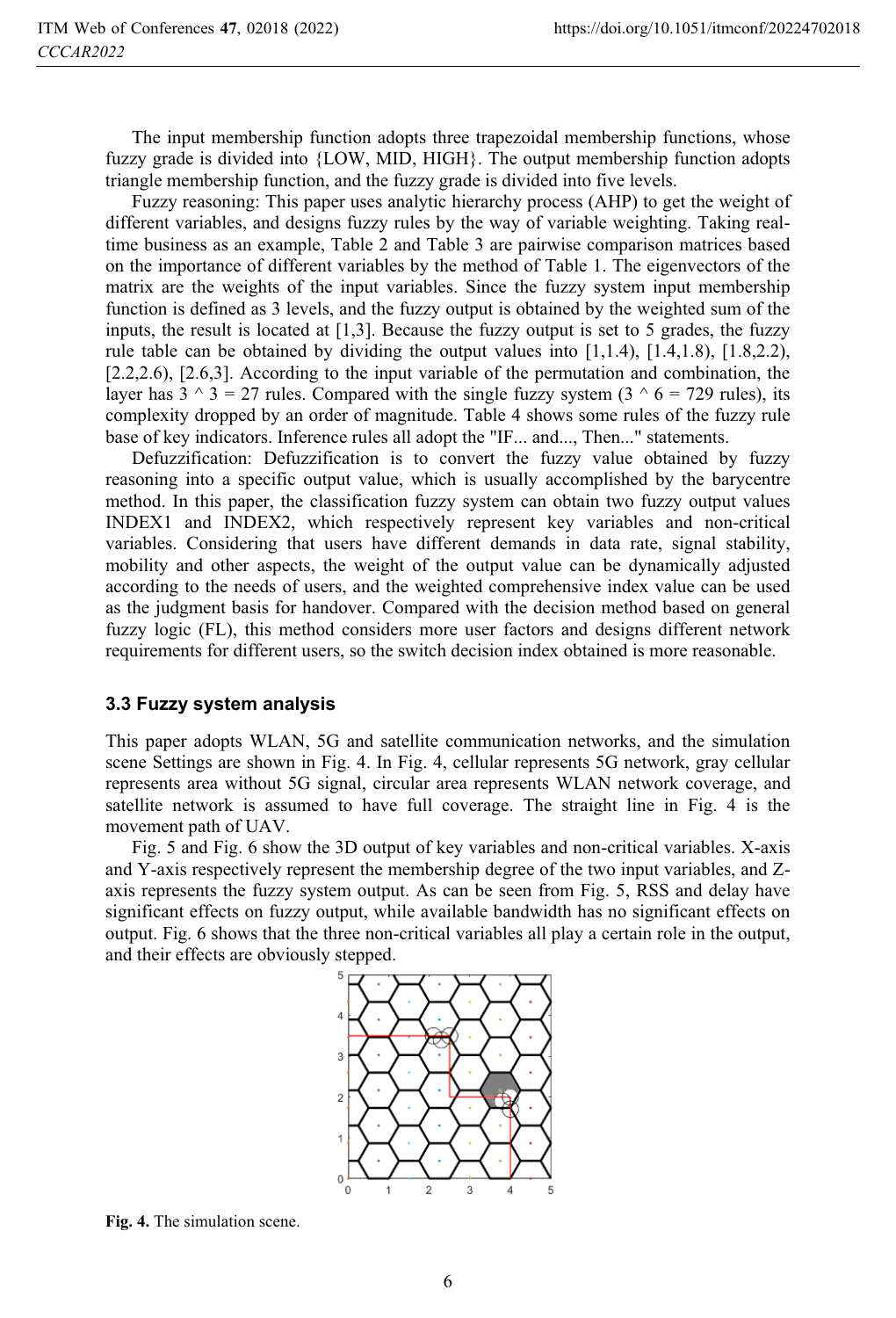The input membership function adopts three trapezoidal membership functions, whose fuzzy grade is divided into {LOW, MID, HIGH}. The output membership function adopts triangle membership function, and the fuzzy grade is divided into five levels.

Fuzzy reasoning: This paper uses analytic hierarchy process (AHP) to get the weight of different variables, and designs fuzzy rules by the way of variable weighting. Taking realtime business as an example, Table 2 and Table 3 are pairwise comparison matrices based on the importance of different variables by the method of Table 1. The eigenvectors of the matrix are the weights of the input variables. Since the fuzzy system input membership function is defined as 3 levels, and the fuzzy output is obtained by the weighted sum of the inputs, the result is located at  $[1,3]$ . Because the fuzzy output is set to 5 grades, the fuzzy rule table can be obtained by dividing the output values into  $[1,1.4)$ ,  $[1.4,1.8)$ ,  $[1.8,2.2)$ , [2.2,2.6), [2.6,3]. According to the input variable of the permutation and combination, the layer has  $3 \land 3 = 27$  rules. Compared with the single fuzzy system  $(3 \land 6 = 729$  rules), its complexity dropped by an order of magnitude. Table 4 shows some rules of the fuzzy rule base of key indicators. Inference rules all adopt the "IF... and..., Then..." statements.

Defuzzification: Defuzzification is to convert the fuzzy value obtained by fuzzy reasoning into a specific output value, which is usually accomplished by the barycentre method. In this paper, the classification fuzzy system can obtain two fuzzy output values INDEX1 and INDEX2, which respectively represent key variables and non-critical variables. Considering that users have different demands in data rate, signal stability, mobility and other aspects, the weight of the output value can be dynamically adjusted according to the needs of users, and the weighted comprehensive index value can be used as the judgment basis for handover. Compared with the decision method based on general fuzzy logic (FL), this method considers more user factors and designs different network requirements for different users, so the switch decision index obtained is more reasonable.

#### **3.3 Fuzzy system analysis**

This paper adopts WLAN, 5G and satellite communication networks, and the simulation scene Settings are shown in Fig. 4. In Fig. 4, cellular represents 5G network, gray cellular represents area without 5G signal, circular area represents WLAN network coverage, and satellite network is assumed to have full coverage. The straight line in Fig. 4 is the movement path of UAV.

Fig. 5 and Fig. 6 show the 3D output of key variables and non-critical variables. X-axis and Y-axis respectively represent the membership degree of the two input variables, and Zaxis represents the fuzzy system output. As can be seen from Fig. 5, RSS and delay have significant effects on fuzzy output, while available bandwidth has no significant effects on output. Fig. 6 shows that the three non-critical variables all play a certain role in the output, and their effects are obviously stepped.



**Fig. 4.** The simulation scene.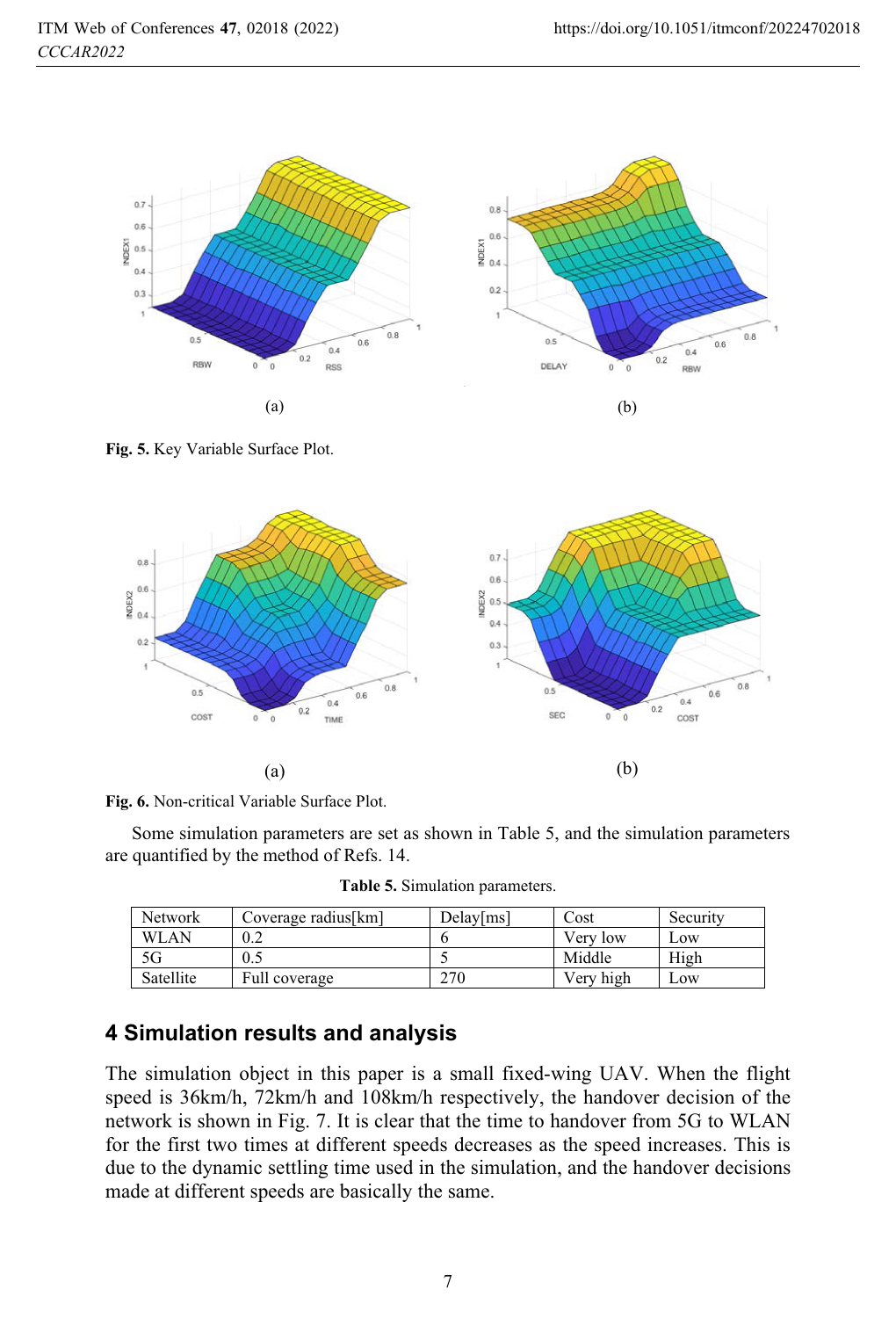

**Fig. 5.** Key Variable Surface Plot.



**Fig. 6.** Non-critical Variable Surface Plot.

Some simulation parameters are set as shown in Table 5, and the simulation parameters are quantified by the method of Refs. 14.

|  | Table 5. Simulation parameters. |  |
|--|---------------------------------|--|
|  |                                 |  |

| <b>Network</b> | Coverage radius[km] | Delay[ms] | Cost      | Security |
|----------------|---------------------|-----------|-----------|----------|
| <b>WLAN</b>    | 0.2                 |           | Very low  | Low      |
| 5G             | 0.5                 |           | Middle    | High     |
| Satellite      | Full coverage       | 270       | Very high | Low      |

## **4 Simulation results and analysis**

The simulation object in this paper is a small fixed-wing UAV. When the flight speed is 36km/h, 72km/h and 108km/h respectively, the handover decision of the network is shown in Fig. 7. It is clear that the time to handover from 5G to WLAN for the first two times at different speeds decreases as the speed increases. This is due to the dynamic settling time used in the simulation, and the handover decisions made at different speeds are basically the same.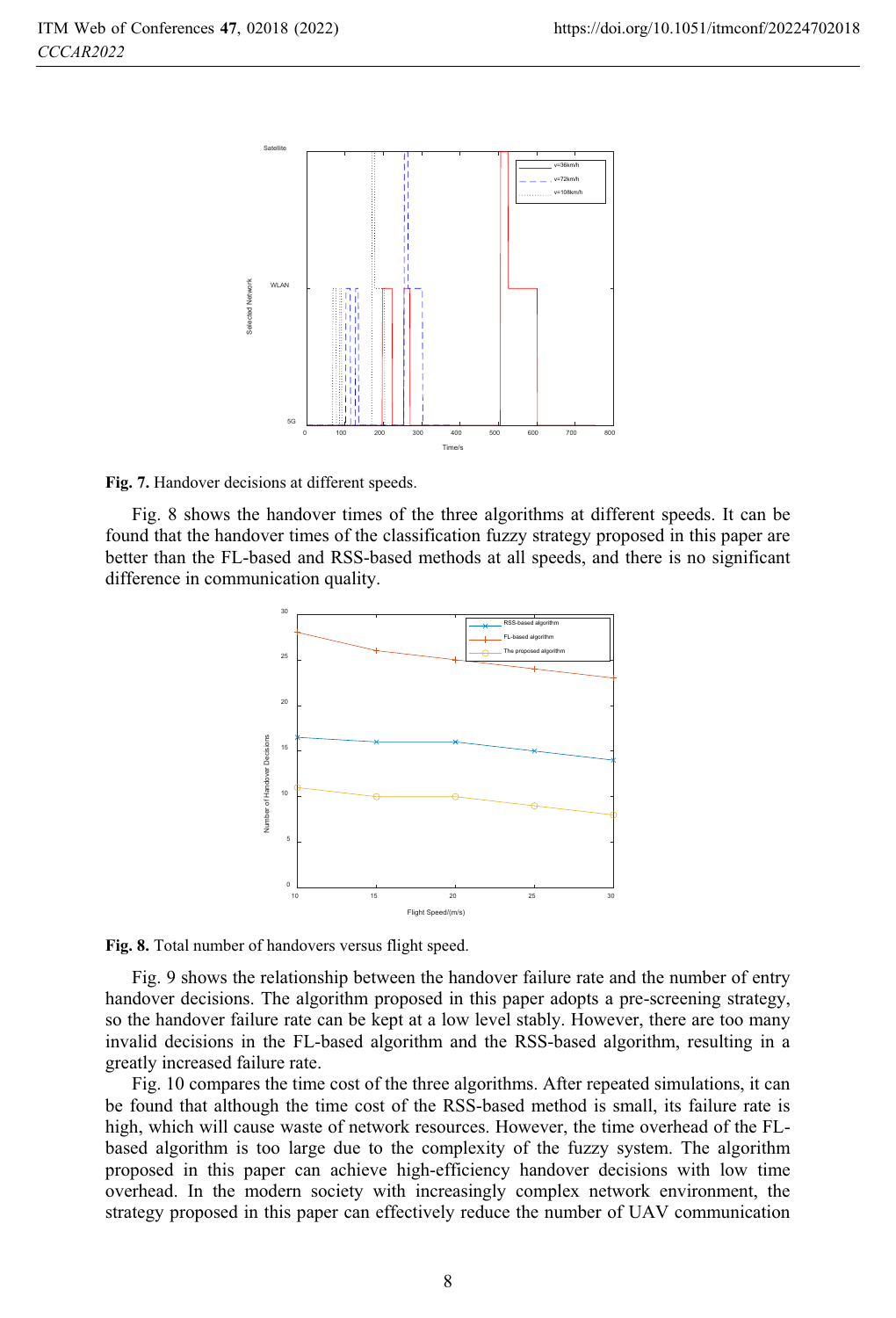

**Fig. 7.** Handover decisions at different speeds.

Fig. 8 shows the handover times of the three algorithms at different speeds. It can be found that the handover times of the classification fuzzy strategy proposed in this paper are better than the FL-based and RSS-based methods at all speeds, and there is no significant difference in communication quality.



**Fig. 8.** Total number of handovers versus flight speed.

Fig. 9 shows the relationship between the handover failure rate and the number of entry handover decisions. The algorithm proposed in this paper adopts a pre-screening strategy, so the handover failure rate can be kept at a low level stably. However, there are too many invalid decisions in the FL-based algorithm and the RSS-based algorithm, resulting in a greatly increased failure rate.

Fig. 10 compares the time cost of the three algorithms. After repeated simulations, it can be found that although the time cost of the RSS-based method is small, its failure rate is high, which will cause waste of network resources. However, the time overhead of the FLbased algorithm is too large due to the complexity of the fuzzy system. The algorithm proposed in this paper can achieve high-efficiency handover decisions with low time overhead. In the modern society with increasingly complex network environment, the strategy proposed in this paper can effectively reduce the number of UAV communication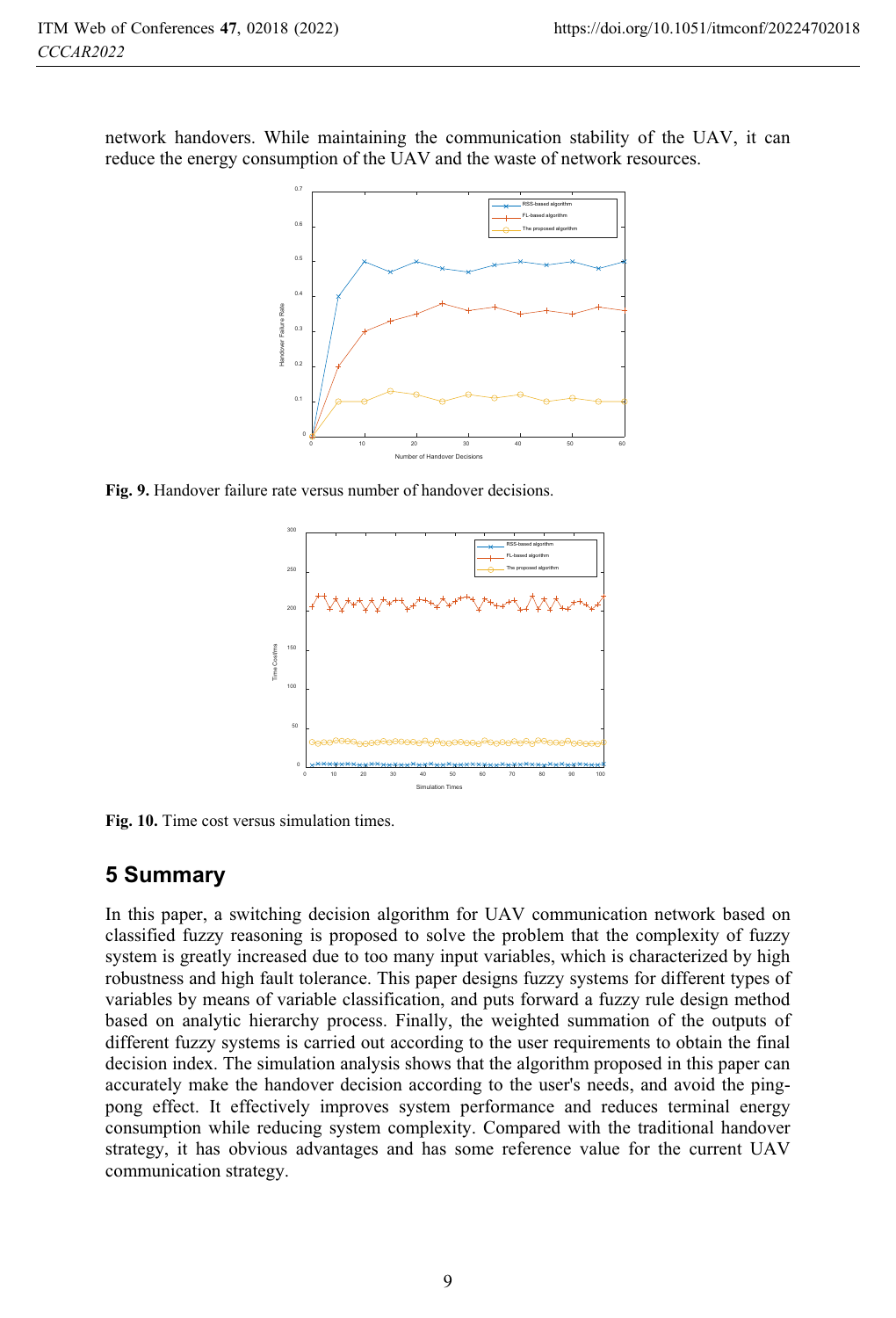network handovers. While maintaining the communication stability of the UAV, it can reduce the energy consumption of the UAV and the waste of network resources.



**Fig. 9.** Handover failure rate versus number of handover decisions.



**Fig. 10.** Time cost versus simulation times.

### **5 Summary**

In this paper, a switching decision algorithm for UAV communication network based on classified fuzzy reasoning is proposed to solve the problem that the complexity of fuzzy system is greatly increased due to too many input variables, which is characterized by high robustness and high fault tolerance. This paper designs fuzzy systems for different types of variables by means of variable classification, and puts forward a fuzzy rule design method based on analytic hierarchy process. Finally, the weighted summation of the outputs of different fuzzy systems is carried out according to the user requirements to obtain the final decision index. The simulation analysis shows that the algorithm proposed in this paper can accurately make the handover decision according to the user's needs, and avoid the pingpong effect. It effectively improves system performance and reduces terminal energy consumption while reducing system complexity. Compared with the traditional handover strategy, it has obvious advantages and has some reference value for the current UAV communication strategy.